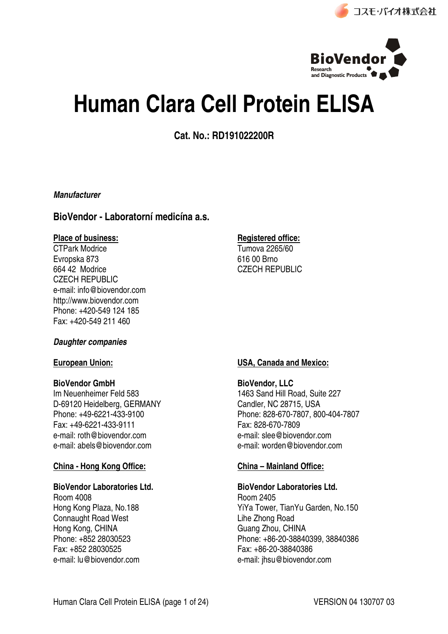



# **Human Clara Cell Protein ELISA**

**Cat. No.: RD191022200R**

**Manufacturer** 

**BioVendor - Laboratorní medicína a.s.** 

#### **Place of business:**

CTPark Modrice Evropska 873 664 42 Modrice CZECH REPUBLIC e-mail: info@biovendor.com http://www.biovendor.com Phone: +420-549 124 185 Fax: +420-549 211 460

#### **Daughter companies**

#### **European Union:**

#### **BioVendor GmbH**

Im Neuenheimer Feld 583 D-69120 Heidelberg, GERMANY Phone: +49-6221-433-9100 Fax: +49-6221-433-9111 e-mail: roth@biovendor.com e-mail: abels@biovendor.com

#### **China - Hong Kong Office:**

#### **BioVendor Laboratories Ltd.**

Room 4008 Hong Kong Plaza, No.188 Connaught Road West Hong Kong, CHINA Phone: +852 28030523 Fax: +852 28030525 e-mail: lu@biovendor.com

#### **Registered office:**

Tumova 2265/60 616 00 Brno CZECH REPUBLIC

#### **USA, Canada and Mexico:**

**BioVendor, LLC**  1463 Sand Hill Road, Suite 227 Candler, NC 28715, USA Phone: 828-670-7807, 800-404-7807 Fax: 828-670-7809 e-mail: slee@biovendor.com e-mail: worden@biovendor.com

#### **China – Mainland Office:**

#### **BioVendor Laboratories Ltd.**

Room 2405 YiYa Tower, TianYu Garden, No.150 Lihe Zhong Road Guang Zhou, CHINA Phone: +86-20-38840399, 38840386 Fax: +86-20-38840386 e-mail: jhsu@biovendor.com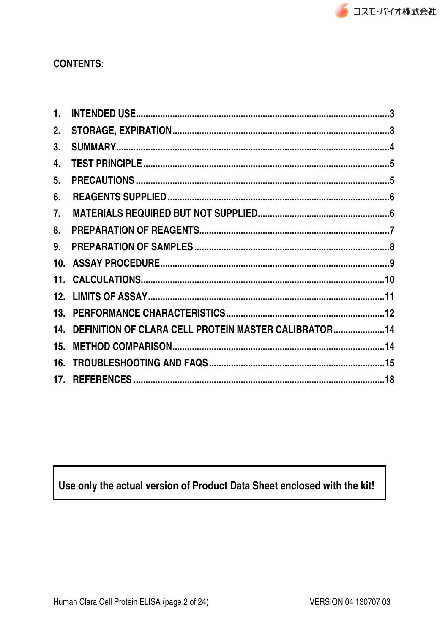

# **CONTENTS:**

| 1.  |                                                          |  |
|-----|----------------------------------------------------------|--|
| 2.  |                                                          |  |
| 3.  |                                                          |  |
| 4.  |                                                          |  |
| 5.  |                                                          |  |
| 6.  |                                                          |  |
| 7.  |                                                          |  |
| 8.  |                                                          |  |
| 9.  |                                                          |  |
|     |                                                          |  |
|     |                                                          |  |
|     |                                                          |  |
|     |                                                          |  |
|     | 14. DEFINITION OF CLARA CELL PROTEIN MASTER CALIBRATOR14 |  |
| 15. |                                                          |  |
|     |                                                          |  |
|     |                                                          |  |

Use only the actual version of Product Data Sheet enclosed with the kit!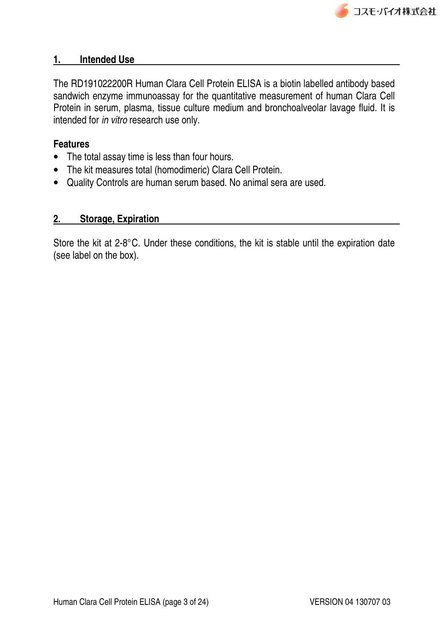

#### **1. Intended Use**

The RD191022200R Human Clara Cell Protein ELISA is a biotin labelled antibody based sandwich enzyme immunoassay for the quantitative measurement of human Clara Cell Protein in serum, plasma, tissue culture medium and bronchoalveolar lavage fluid. It is intended for in vitro research use only.

## **Features**

- The total assay time is less than four hours.
- The kit measures total (homodimeric) Clara Cell Protein.
- Quality Controls are human serum based. No animal sera are used.

# **2. Storage, Expiration**

Store the kit at 2-8°C. Under these conditions, the kit is stable until the expiration date (see label on the box).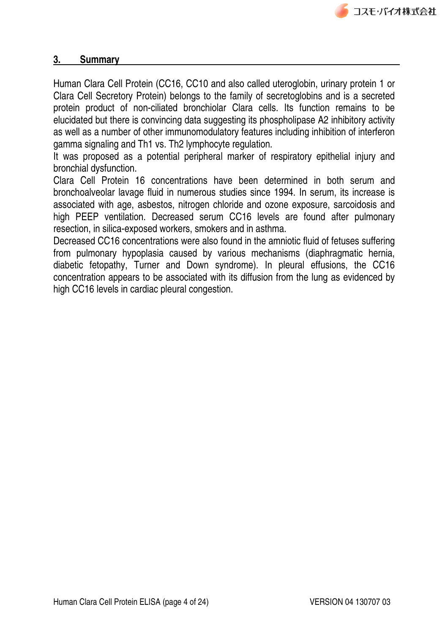## **3. Summary**

Human Clara Cell Protein (CC16, CC10 and also called uteroglobin, urinary protein 1 or Clara Cell Secretory Protein) belongs to the family of secretoglobins and is a secreted protein product of non-ciliated bronchiolar Clara cells. Its function remains to be elucidated but there is convincing data suggesting its phospholipase A2 inhibitory activity as well as a number of other immunomodulatory features including inhibition of interferon gamma signaling and Th1 vs. Th2 lymphocyte regulation.

It was proposed as a potential peripheral marker of respiratory epithelial injury and bronchial dysfunction.

Clara Cell Protein 16 concentrations have been determined in both serum and bronchoalveolar lavage fluid in numerous studies since 1994. In serum, its increase is associated with age, asbestos, nitrogen chloride and ozone exposure, sarcoidosis and high PEEP ventilation. Decreased serum CC16 levels are found after pulmonary resection, in silica-exposed workers, smokers and in asthma.

Decreased CC16 concentrations were also found in the amniotic fluid of fetuses suffering from pulmonary hypoplasia caused by various mechanisms (diaphragmatic hernia, diabetic fetopathy, Turner and Down syndrome). In pleural effusions, the CC16 concentration appears to be associated with its diffusion from the lung as evidenced by high CC16 levels in cardiac pleural congestion.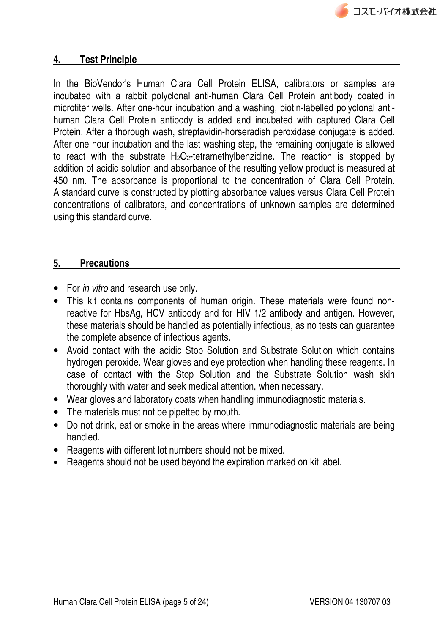

## **4. Test Principle**

In the BioVendor's Human Clara Cell Protein ELISA, calibrators or samples are incubated with a rabbit polyclonal anti-human Clara Cell Protein antibody coated in microtiter wells. After one-hour incubation and a washing, biotin-labelled polyclonal antihuman Clara Cell Protein antibody is added and incubated with captured Clara Cell Protein. After a thorough wash, streptavidin-horseradish peroxidase conjugate is added. After one hour incubation and the last washing step, the remaining conjugate is allowed to react with the substrate  $H_2O_2$ -tetramethylbenzidine. The reaction is stopped by addition of acidic solution and absorbance of the resulting yellow product is measured at 450 nm. The absorbance is proportional to the concentration of Clara Cell Protein. A standard curve is constructed by plotting absorbance values versus Clara Cell Protein concentrations of calibrators, and concentrations of unknown samples are determined using this standard curve.

## **5. Precautions**

- For *in vitro* and research use only.
- This kit contains components of human origin. These materials were found nonreactive for HbsAg, HCV antibody and for HIV 1/2 antibody and antigen. However, these materials should be handled as potentially infectious, as no tests can guarantee the complete absence of infectious agents.
- Avoid contact with the acidic Stop Solution and Substrate Solution which contains hydrogen peroxide. Wear gloves and eye protection when handling these reagents. In case of contact with the Stop Solution and the Substrate Solution wash skin thoroughly with water and seek medical attention, when necessary.
- Wear gloves and laboratory coats when handling immunodiagnostic materials.
- The materials must not be pipetted by mouth.
- Do not drink, eat or smoke in the areas where immunodiagnostic materials are being handled.
- Reagents with different lot numbers should not be mixed.
- Reagents should not be used beyond the expiration marked on kit label.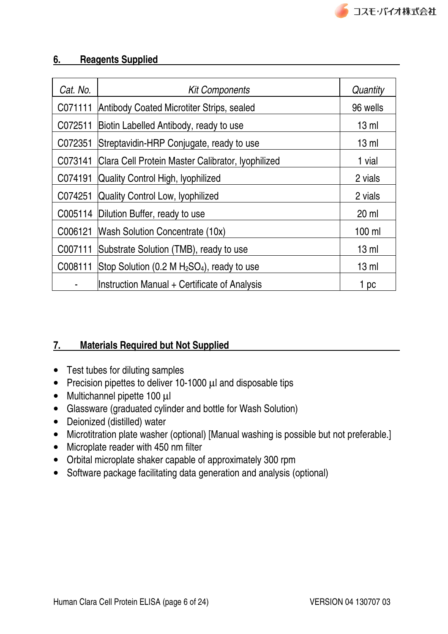# **6. Reagents Supplied**

| Cat. No. | <b>Kit Components</b>                             | Quantity         |
|----------|---------------------------------------------------|------------------|
| C071111  | Antibody Coated Microtiter Strips, sealed         | 96 wells         |
| C072511  | Biotin Labelled Antibody, ready to use            | $13 \text{ ml}$  |
| C072351  | Streptavidin-HRP Conjugate, ready to use          | 13 <sub>ml</sub> |
| C073141  | Clara Cell Protein Master Calibrator, Iyophilized | 1 vial           |
| C074191  | Quality Control High, Iyophilized                 | 2 vials          |
| C074251  | <b>Quality Control Low, Iyophilized</b>           | 2 vials          |
| C005114  | Dilution Buffer, ready to use                     | 20 ml            |
| C006121  | Wash Solution Concentrate (10x)                   | 100 ml           |
| C007111  | Substrate Solution (TMB), ready to use            | $13 \text{ ml}$  |
| C008111  | Stop Solution (0.2 M $H_2SO_4$ ), ready to use    | $13 \text{ ml}$  |
|          | Instruction Manual + Certificate of Analysis      | 1 pc             |

# **7. Materials Required but Not Supplied**

- Test tubes for diluting samples
- Precision pipettes to deliver 10-1000  $\mu$ l and disposable tips
- Multichannel pipette 100 µl
- Glassware (graduated cylinder and bottle for Wash Solution)
- Deionized (distilled) water
- Microtitration plate washer (optional) [Manual washing is possible but not preferable.]
- Microplate reader with 450 nm filter
- Orbital microplate shaker capable of approximately 300 rpm
- Software package facilitating data generation and analysis (optional)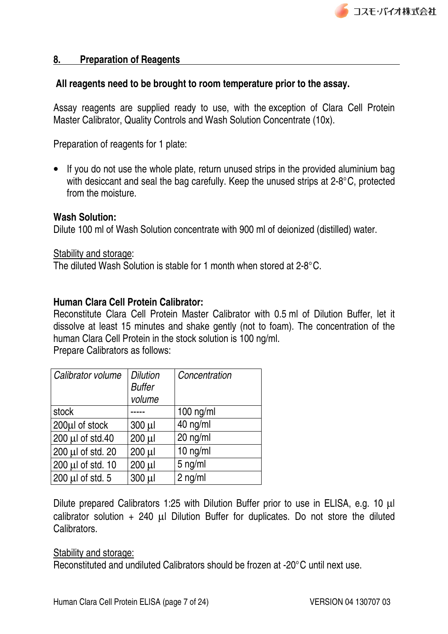## **8. Preparation of Reagents**

## **All reagents need to be brought to room temperature prior to the assay.**

Assay reagents are supplied ready to use, with the exception of Clara Cell Protein Master Calibrator, Quality Controls and Wash Solution Concentrate (10x).

Preparation of reagents for 1 plate:

• If you do not use the whole plate, return unused strips in the provided aluminium bag with desiccant and seal the bag carefully. Keep the unused strips at 2-8°C, protected from the moisture.

## **Wash Solution:**

Dilute 100 ml of Wash Solution concentrate with 900 ml of deionized (distilled) water.

Stability and storage:

The diluted Wash Solution is stable for 1 month when stored at 2-8°C.

# **Human Clara Cell Protein Calibrator:**

Reconstitute Clara Cell Protein Master Calibrator with 0.5 ml of Dilution Buffer, let it dissolve at least 15 minutes and shake gently (not to foam). The concentration of the human Clara Cell Protein in the stock solution is 100 ng/ml. Prepare Calibrators as follows:

| Calibrator volume     | <b>Dilution</b><br><b>Buffer</b><br>volume | Concentration |
|-----------------------|--------------------------------------------|---------------|
| stock                 |                                            | $100$ ng/ml   |
| 200µl of stock        | $300 \mu$                                  | 40 ng/ml      |
| $200 \mu l$ of std.40 | 200 µl                                     | $20$ ng/ml    |
| 200 µl of std. 20     | $200 \mu$                                  | $10$ ng/ml    |
| 200 µl of std. 10     | 200 µl                                     | $5$ ng/ml     |
| $200$ µl of std. 5    | 300 µl                                     | $2$ ng/ml     |

Dilute prepared Calibrators 1:25 with Dilution Buffer prior to use in ELISA, e.g. 10 µl calibrator solution  $+$  240  $\mu$ l Dilution Buffer for duplicates. Do not store the diluted Calibrators.

# Stability and storage:

Reconstituted and undiluted Calibrators should be frozen at -20°C until next use.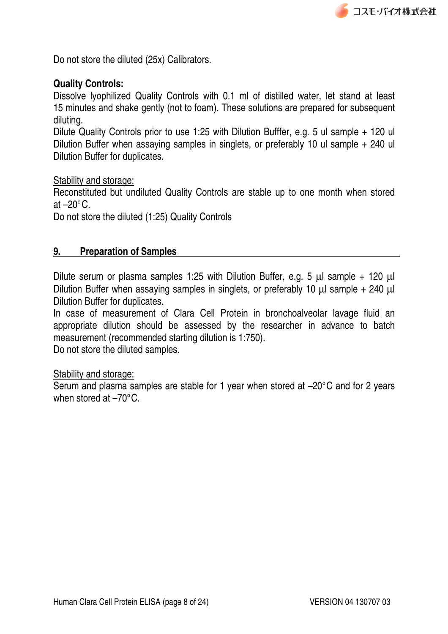

Do not store the diluted (25x) Calibrators.

# **Quality Controls:**

Dissolve lyophilized Quality Controls with 0.1 ml of distilled water, let stand at least 15 minutes and shake gently (not to foam). These solutions are prepared for subsequent diluting.

Dilute Quality Controls prior to use 1:25 with Dilution Bufffer, e.g. 5 ul sample + 120 ul Dilution Buffer when assaying samples in singlets, or preferably 10 ul sample + 240 ul Dilution Buffer for duplicates.

Stability and storage:

Reconstituted but undiluted Quality Controls are stable up to one month when stored at  $-20^\circ$ C.

Do not store the diluted (1:25) Quality Controls

# **9. Preparation of Samples**

Dilute serum or plasma samples 1:25 with Dilution Buffer, e.g. 5  $\mu$ l sample + 120  $\mu$ l Dilution Buffer when assaying samples in singlets, or preferably 10  $\mu$ l sample + 240  $\mu$ l Dilution Buffer for duplicates.

In case of measurement of Clara Cell Protein in bronchoalveolar lavage fluid an appropriate dilution should be assessed by the researcher in advance to batch measurement (recommended starting dilution is 1:750).

Do not store the diluted samples.

# Stability and storage:

Serum and plasma samples are stable for 1 year when stored at –20°C and for 2 years when stored at  $-70^{\circ}$ C.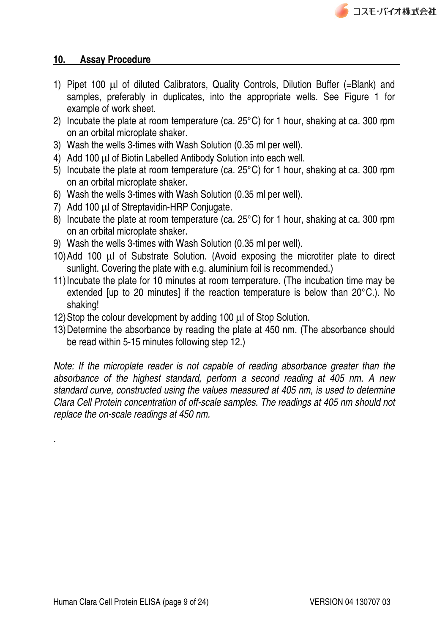

## **10. Assay Procedure**

- 1) Pipet 100 µl of diluted Calibrators, Quality Controls, Dilution Buffer (=Blank) and samples, preferably in duplicates, into the appropriate wells. See Figure 1 for example of work sheet.
- 2) Incubate the plate at room temperature (ca. 25°C) for 1 hour, shaking at ca. 300 rpm on an orbital microplate shaker.
- 3) Wash the wells 3-times with Wash Solution (0.35 ml per well).
- 4) Add 100 µl of Biotin Labelled Antibody Solution into each well.
- 5) Incubate the plate at room temperature (ca. 25°C) for 1 hour, shaking at ca. 300 rpm on an orbital microplate shaker.
- 6) Wash the wells 3-times with Wash Solution (0.35 ml per well).
- 7) Add 100 µl of Streptavidin-HRP Conjugate.
- 8) Incubate the plate at room temperature (ca. 25°C) for 1 hour, shaking at ca. 300 rpm on an orbital microplate shaker.
- 9) Wash the wells 3-times with Wash Solution (0.35 ml per well).
- 10) Add 100 µl of Substrate Solution. (Avoid exposing the microtiter plate to direct sunlight. Covering the plate with e.g. aluminium foil is recommended.)
- 11)Incubate the plate for 10 minutes at room temperature. (The incubation time may be extended [up to 20 minutes] if the reaction temperature is below than 20°C.). No shaking!
- 12) Stop the colour development by adding 100 µl of Stop Solution.
- 13)Determine the absorbance by reading the plate at 450 nm. (The absorbance should be read within 5-15 minutes following step 12.)

Note: If the microplate reader is not capable of reading absorbance greater than the absorbance of the highest standard, perform a second reading at 405 nm. A new standard curve, constructed using the values measured at 405 nm, is used to determine Clara Cell Protein concentration of off-scale samples. The readings at 405 nm should not replace the on-scale readings at 450 nm.

.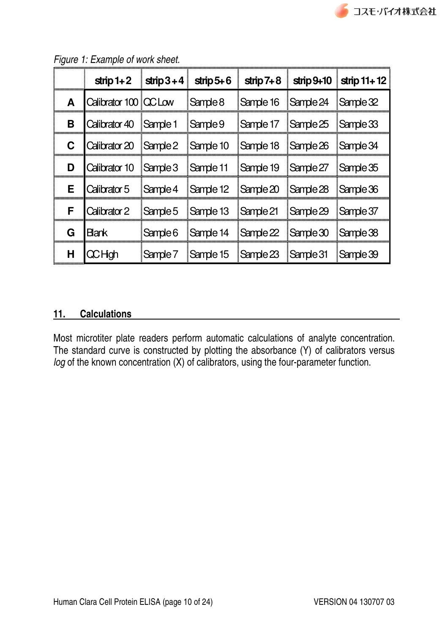Figure 1: Example of work sheet.

|     | $\frac{\sinh 1 + 2}{\sinh 3 + 4}$                                |          | strip 5+6                                        |                               | $\frac{1}{2}$ strip 7+8 $\frac{1}{2}$ strip 9+10 $\frac{1}{2}$ strip 11+12 |
|-----|------------------------------------------------------------------|----------|--------------------------------------------------|-------------------------------|----------------------------------------------------------------------------|
| A   | Calibrator 100 CC Low                                            |          | $\exists$ Sample 8                               | Sample 16 Sample 24 Sample 32 |                                                                            |
| B   | Calibrator 40 Sample 1 Sample 9                                  |          |                                                  | Sample 17 Sample 25 Sample 33 |                                                                            |
|     | C Calibrator 20 Sample 2 Sample 10                               |          |                                                  | Sample 18 Sample 26 Sample 34 |                                                                            |
|     | D Calibrator 10 Sample 3 Sample 11 Sample 19 Sample 27 Sample 35 |          |                                                  |                               |                                                                            |
|     | <b>E</b> Calibrator 5 Sample 4 Sample 12                         |          |                                                  | Sample 20 Sample 28 Sample 36 |                                                                            |
|     | $\mathsf F$ $\mathsf C$ alibrator 2                              |          | Sample 5 Sample 13 Sample 21 Sample 29 Sample 37 |                               |                                                                            |
| G – | <b>IBlank</b>                                                    | :Samde 6 | Sample 14   Sample 22   Sample 30   Sample 38    |                               |                                                                            |
| H.  | <b>IQCHah</b>                                                    |          | Sample 7 Sample 15 Sample 23 Sample 31 Sample 39 |                               |                                                                            |

# **11. Calculations**

Most microtiter plate readers perform automatic calculations of analyte concentration. The standard curve is constructed by plotting the absorbance (Y) of calibrators versus log of the known concentration (X) of calibrators, using the four-parameter function.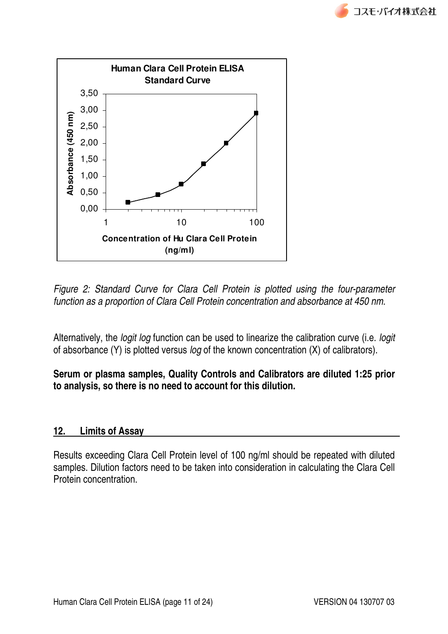

Figure 2: Standard Curve for Clara Cell Protein is plotted using the four-parameter function as a proportion of Clara Cell Protein concentration and absorbance at 450 nm.

Alternatively, the logit log function can be used to linearize the calibration curve (i.e. logit of absorbance (Y) is plotted versus log of the known concentration (X) of calibrators).

**Serum or plasma samples, Quality Controls and Calibrators are diluted 1:25 prior to analysis, so there is no need to account for this dilution.**

# **12. Limits of Assay**

Results exceeding Clara Cell Protein level of 100 ng/ml should be repeated with diluted samples. Dilution factors need to be taken into consideration in calculating the Clara Cell Protein concentration.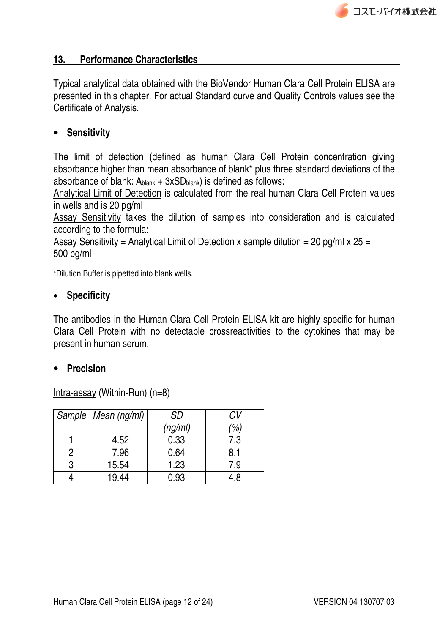# **13. Performance Characteristics**

Typical analytical data obtained with the BioVendor Human Clara Cell Protein ELISA are presented in this chapter. For actual Standard curve and Quality Controls values see the Certificate of Analysis.

# • **Sensitivity**

The limit of detection (defined as human Clara Cell Protein concentration giving absorbance higher than mean absorbance of blank\* plus three standard deviations of the absorbance of blank:  $A_{\text{blank}} + 3xSD_{\text{blank}}$ ) is defined as follows:

Analytical Limit of Detection is calculated from the real human Clara Cell Protein values in wells and is 20 pg/ml

Assay Sensitivity takes the dilution of samples into consideration and is calculated according to the formula:

Assay Sensitivity = Analytical Limit of Detection x sample dilution = 20 pg/ml x  $25 =$ 500 pg/ml

\*Dilution Buffer is pipetted into blank wells.

# • **Specificity**

The antibodies in the Human Clara Cell Protein ELISA kit are highly specific for human Clara Cell Protein with no detectable crossreactivities to the cytokines that may be present in human serum.

# • **Precision**

Intra-assay (Within-Run) (n=8)

|                | Sample   Mean (ng/ml) | <b>SD</b> | CV            |
|----------------|-----------------------|-----------|---------------|
|                |                       | (ng/ml)   | $\frac{1}{2}$ |
|                | 4.52                  | 0.33      | 7.3           |
| $\overline{2}$ | 7.96                  | 0.64      | 8.1           |
| 3              | 15.54                 | 1.23      | 7.9           |
|                | 19.44                 | 0.93      | 4.8           |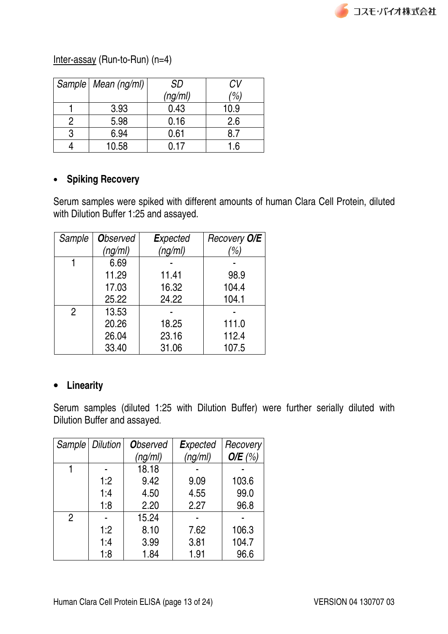|   | Sample   Mean (ng/ml) | <b>SD</b> | СV            |
|---|-----------------------|-----------|---------------|
|   |                       | (ng/ml)   | $\frac{1}{2}$ |
|   | 3.93                  | 0.43      | 10.9          |
|   | 5.98                  | 0.16      | 2.6           |
| 3 | 6.94                  | 0.61      | 87            |
|   | 10.58                 | 17 (      | 1.6           |

# Inter-assay (Run-to-Run) (n=4)

# • **Spiking Recovery**

Serum samples were spiked with different amounts of human Clara Cell Protein, diluted with Dilution Buffer 1:25 and assayed.

| Sample        | <b>Observed</b> | <b>Expected</b> | Recovery O/E |
|---------------|-----------------|-----------------|--------------|
|               | (ng/ml)         | (ng/ml)         | $\%$         |
|               | 6.69            |                 |              |
|               | 11.29           | 11.41           | 98.9         |
|               | 17.03           | 16.32           | 104.4        |
|               | 25.22           | 24.22           | 104.1        |
| $\mathcal{P}$ | 13.53           |                 |              |
|               | 20.26           | 18.25           | 111.0        |
|               | 26.04           | 23.16           | 112.4        |
|               | 33.40           | 31.06           | 107.5        |

# • **Linearity**

Serum samples (diluted 1:25 with Dilution Buffer) were further serially diluted with Dilution Buffer and assayed.

|                | Sample   Dilution | <b>Observed</b> | <b>Expected</b> | Recovery  |
|----------------|-------------------|-----------------|-----------------|-----------|
|                |                   | (nq/ml)         | (ng/ml)         | O/E $(%)$ |
|                |                   | 18.18           |                 |           |
|                | 1:2               | 9.42            | 9.09            | 103.6     |
|                | 1:4               | 4.50            | 4.55            | 99.0      |
|                | 1:8               | 2.20            | 2.27            | 96.8      |
| $\overline{2}$ |                   | 15.24           |                 |           |
|                | 1:2               | 8.10            | 7.62            | 106.3     |
|                | 1:4               | 3.99            | 3.81            | 104.7     |
|                | 1:8               | 1.84            | 1.91            | 96.6      |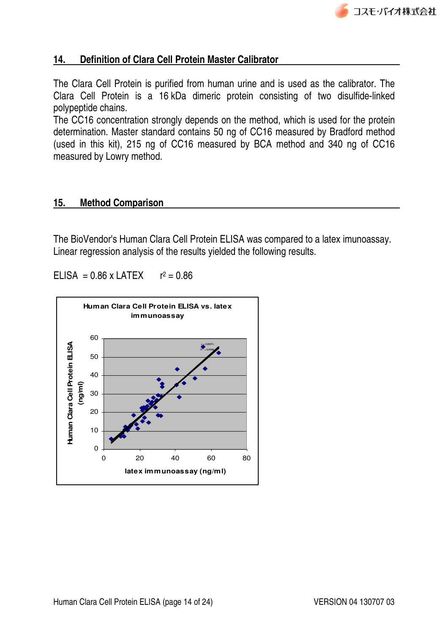

## **14. Definition of Clara Cell Protein Master Calibrator**

The Clara Cell Protein is purified from human urine and is used as the calibrator. The Clara Cell Protein is a 16 kDa dimeric protein consisting of two disulfide-linked polypeptide chains.

The CC16 concentration strongly depends on the method, which is used for the protein determination. Master standard contains 50 ng of CC16 measured by Bradford method (used in this kit), 215 ng of CC16 measured by BCA method and 340 ng of CC16 measured by Lowry method.

#### **15. Method Comparison**

The BioVendor's Human Clara Cell Protein ELISA was compared to a latex imunoassay. Linear regression analysis of the results yielded the following results.

 $ELISA = 0.86 \times LATEX$  $r^2 = 0.86$ 

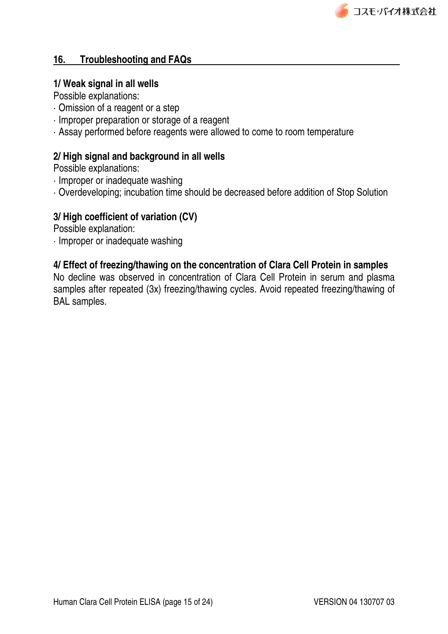# **16. Troubleshooting and FAQs**

# **1/ Weak signal in all wells**

Possible explanations:

- · Omission of a reagent or a step
- · Improper preparation or storage of a reagent
- · Assay performed before reagents were allowed to come to room temperature

# **2/ High signal and background in all wells**

Possible explanations:

- · Improper or inadequate washing
- · Overdeveloping; incubation time should be decreased before addition of Stop Solution

# **3/ High coefficient of variation (CV)**

Possible explanation:

· Improper or inadequate washing

# **4/ Effect of freezing/thawing on the concentration of Clara Cell Protein in samples**

No decline was observed in concentration of Clara Cell Protein in serum and plasma samples after repeated (3x) freezing/thawing cycles. Avoid repeated freezing/thawing of BAL samples.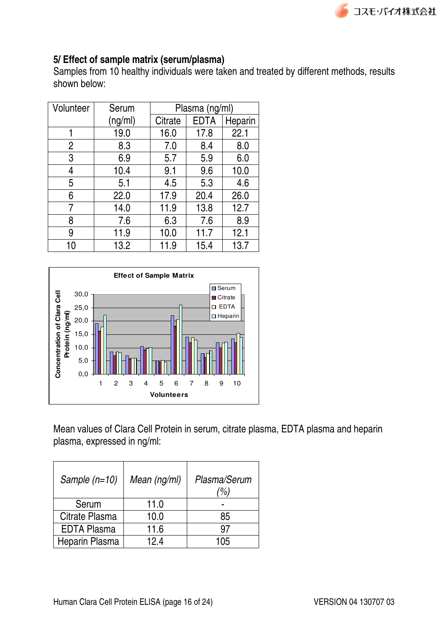コスモ・バイオ株式会社

# **5/ Effect of sample matrix (serum/plasma)**

Samples from 10 healthy individuals were taken and treated by different methods, results shown below:

| Volunteer      | Serum   | Plasma (ng/ml) |             |         |
|----------------|---------|----------------|-------------|---------|
|                | (ng/ml) | Citrate        | <b>EDTA</b> | Heparin |
| 1              | 19.0    | 16.0           | 17.8        | 22.1    |
| $\overline{2}$ | 8.3     | 7.0            | 8.4         | 8.0     |
| 3              | 6.9     | 5.7            | 5.9         | 6.0     |
| 4              | 10.4    | 9.1            | 9.6         | 10.0    |
| 5              | 5.1     | 4.5            | 5.3         | 4.6     |
| 6              | 22.0    | 17.9           | 20.4        | 26.0    |
| 7              | 14.0    | 11.9           | 13.8        | 12.7    |
| 8              | 7.6     | 6.3            | 7.6         | 8.9     |
| 9              | 11.9    | 10.0           | 11.7        | 12.1    |
| 10             | 13.2    | 11.9           | 15.4        | 13.7    |



Mean values of Clara Cell Protein in serum, citrate plasma, EDTA plasma and heparin plasma, expressed in ng/ml:

| Sample $(n=10)$    | Mean (ng/ml) | Plasma/Serum<br>$\%$ |
|--------------------|--------------|----------------------|
| Serum              | 11.0         |                      |
| Citrate Plasma     | 10.0         | 85                   |
| <b>EDTA Plasma</b> | 11.6         | 97                   |
| Heparin Plasma     | 124          | 105                  |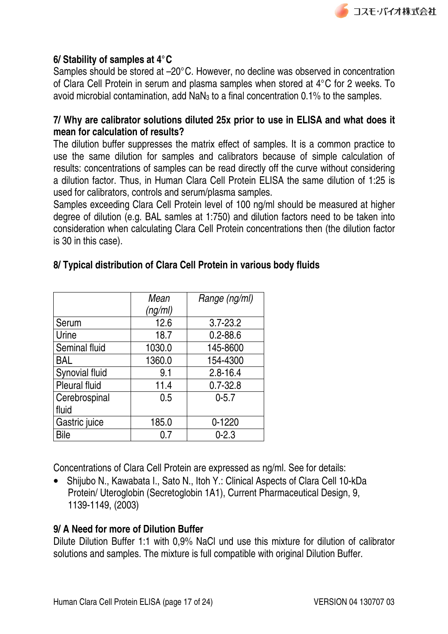

# **6/ Stability of samples at 4°C**

Samples should be stored at –20°C. However, no decline was observed in concentration of Clara Cell Protein in serum and plasma samples when stored at 4°C for 2 weeks. To avoid microbial contamination, add  $N_3$  to a final concentration 0.1% to the samples.

# **7/ Why are calibrator solutions diluted 25x prior to use in ELISA and what does it mean for calculation of results?**

The dilution buffer suppresses the matrix effect of samples. It is a common practice to use the same dilution for samples and calibrators because of simple calculation of results: concentrations of samples can be read directly off the curve without considering a dilution factor. Thus, in Human Clara Cell Protein ELISA the same dilution of 1:25 is used for calibrators, controls and serum/plasma samples.

Samples exceeding Clara Cell Protein level of 100 ng/ml should be measured at higher degree of dilution (e.g. BAL samles at 1:750) and dilution factors need to be taken into consideration when calculating Clara Cell Protein concentrations then (the dilution factor is 30 in this case).

|                       | Mean    | Range (ng/ml) |
|-----------------------|---------|---------------|
|                       | (ng/ml) |               |
| Serum                 | 12.6    | $3.7 - 23.2$  |
| <b>Urine</b>          | 18.7    | $0.2 - 88.6$  |
| Seminal fluid         | 1030.0  | 145-8600      |
| <b>BAL</b>            | 1360.0  | 154-4300      |
| <b>Synovial fluid</b> | 9.1     | $2.8 - 16.4$  |
| <b>Pleural fluid</b>  | 11.4    | $0.7 - 32.8$  |
| Cerebrospinal         | 0.5     | $0 - 5.7$     |
| fluid                 |         |               |
| Gastric juice         | 185.0   | $0 - 1220$    |
| <b>Bile</b>           | 0.7     | $0 - 2.3$     |

# **8/ Typical distribution of Clara Cell Protein in various body fluids**

Concentrations of Clara Cell Protein are expressed as ng/ml. See for details:

• Shijubo N., Kawabata I., Sato N., Itoh Y.: Clinical Aspects of Clara Cell 10-kDa Protein/ Uteroglobin (Secretoglobin 1A1), Current Pharmaceutical Design, 9, 1139-1149, (2003)

# **9/ A Need for more of Dilution Buffer**

Dilute Dilution Buffer 1:1 with 0,9% NaCl und use this mixture for dilution of calibrator solutions and samples. The mixture is full compatible with original Dilution Buffer.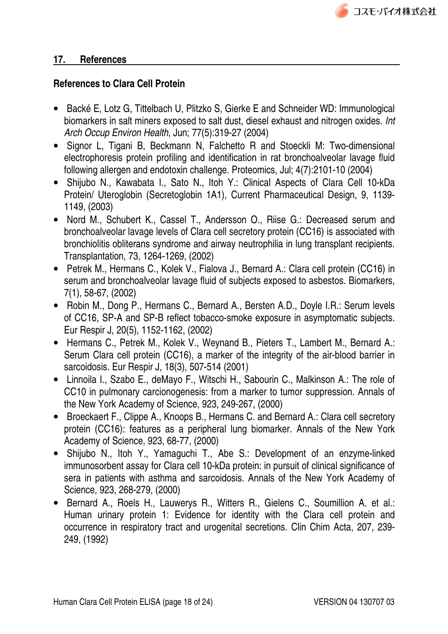# **17. References**

# **References to Clara Cell Protein**

- Backé E, Lotz G, Tittelbach U, Plitzko S, Gierke E and Schneider WD: Immunological biomarkers in salt miners exposed to salt dust, diesel exhaust and nitrogen oxides. Int Arch Occup Environ Health, Jun; 77(5):319-27 (2004)
- Signor L, Tigani B, Beckmann N, Falchetto R and Stoeckli M: Two-dimensional electrophoresis protein profiling and identification in rat bronchoalveolar lavage fluid following allergen and endotoxin challenge. Proteomics, Jul; 4(7):2101-10 (2004)
- Shijubo N., Kawabata I., Sato N., Itoh Y.: Clinical Aspects of Clara Cell 10-kDa Protein/ Uteroglobin (Secretoglobin 1A1), Current Pharmaceutical Design, 9, 1139- 1149, (2003)
- Nord M., Schubert K., Cassel T., Andersson O., Riise G.: Decreased serum and bronchoalveolar lavage levels of Clara cell secretory protein (CC16) is associated with bronchiolitis obliterans syndrome and airway neutrophilia in lung transplant recipients. Transplantation, 73, 1264-1269, (2002)
- Petrek M., Hermans C., Kolek V., Fialova J., Bernard A.: Clara cell protein (CC16) in serum and bronchoalveolar lavage fluid of subjects exposed to asbestos. Biomarkers, 7(1), 58-67, (2002)
- Robin M., Dong P., Hermans C., Bernard A., Bersten A.D., Doyle I.R.: Serum levels of CC16, SP-A and SP-B reflect tobacco-smoke exposure in asymptomatic subjects. Eur Respir J, 20(5), 1152-1162, (2002)
- Hermans C., Petrek M., Kolek V., Weynand B., Pieters T., Lambert M., Bernard A.: Serum Clara cell protein (CC16), a marker of the integrity of the air-blood barrier in sarcoidosis. Eur Respir J, 18(3), 507-514 (2001)
- Linnoila I., Szabo E., deMayo F., Witschi H., Sabourin C., Malkinson A.: The role of CC10 in pulmonary carcionogenesis: from a marker to tumor suppression. Annals of the New York Academy of Science, 923, 249-267, (2000)
- Broeckaert F., Clippe A., Knoops B., Hermans C. and Bernard A.: Clara cell secretory protein (CC16): features as a peripheral lung biomarker. Annals of the New York Academy of Science, 923, 68-77, (2000)
- Shijubo N., Itoh Y., Yamaguchi T., Abe S.: Development of an enzyme-linked immunosorbent assay for Clara cell 10-kDa protein: in pursuit of clinical significance of sera in patients with asthma and sarcoidosis. Annals of the New York Academy of Science, 923, 268-279, (2000)
- Bernard A., Roels H., Lauwerys R., Witters R., Gielens C., Soumillion A. et al.: Human urinary protein 1: Evidence for identity with the Clara cell protein and occurrence in respiratory tract and urogenital secretions. Clin Chim Acta, 207, 239- 249, (1992)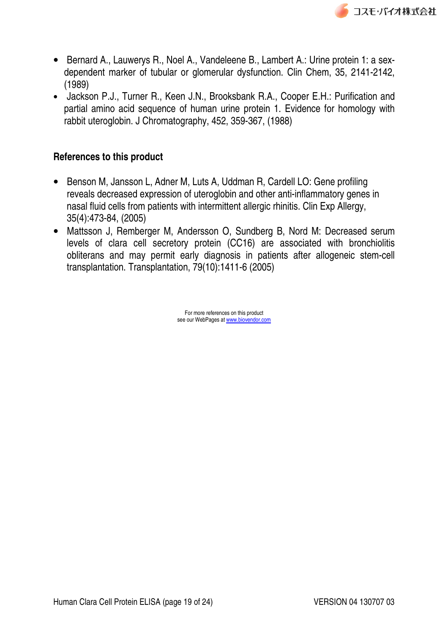

• Jackson P.J., Turner R., Keen J.N., Brooksbank R.A., Cooper E.H.: Purification and partial amino acid sequence of human urine protein 1. Evidence for homology with rabbit uteroglobin. J Chromatography, 452, 359-367, (1988)

# **References to this product**

- Benson M, Jansson L, Adner M, Luts A, Uddman R, Cardell LO: Gene profiling reveals decreased expression of uteroglobin and other anti-inflammatory genes in nasal fluid cells from patients with intermittent allergic rhinitis. Clin Exp Allergy, 35(4):473-84, (2005)
- Mattsson J, Remberger M, Andersson O, Sundberg B, Nord M: Decreased serum levels of clara cell secretory protein (CC16) are associated with bronchiolitis obliterans and may permit early diagnosis in patients after allogeneic stem-cell transplantation. Transplantation, 79(10):1411-6 (2005)

For more references on this product see our WebPages at www.biovendor.com コスモ・バイオ株式会社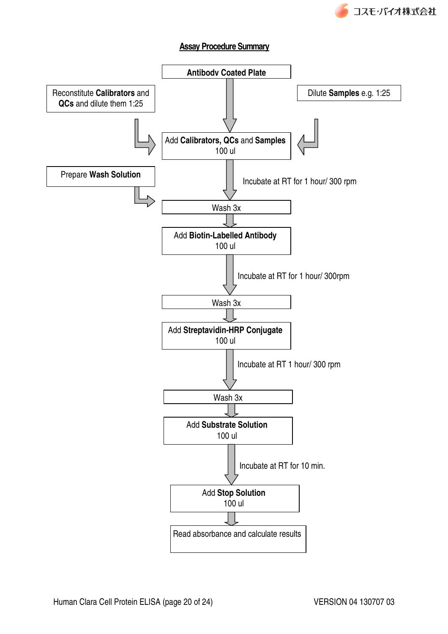

#### **Assay Procedure Summary**

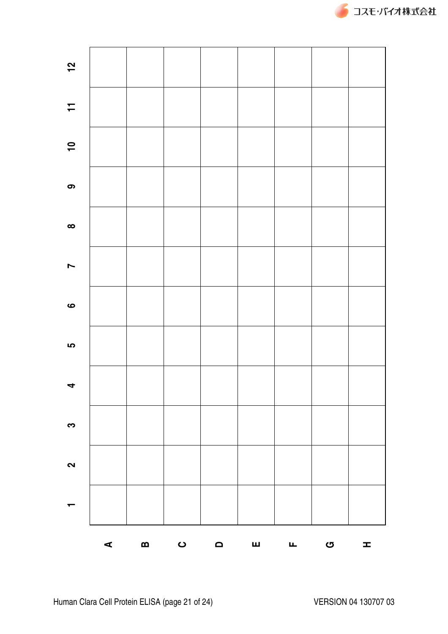

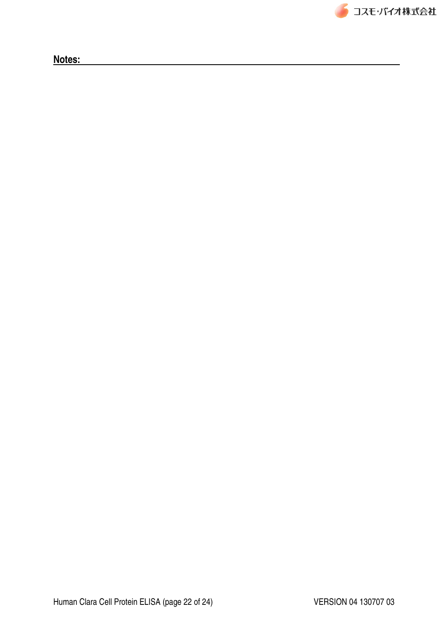

**Notes:**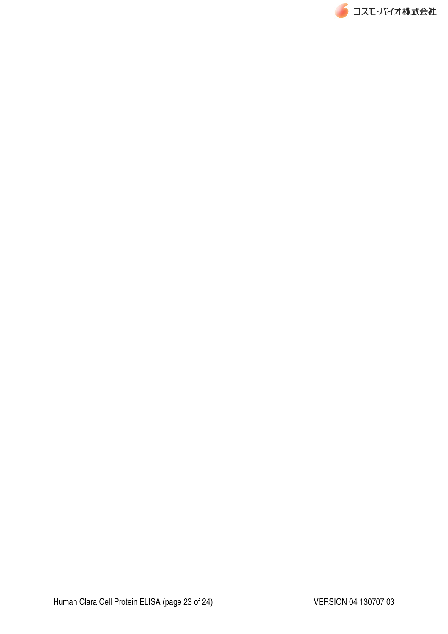